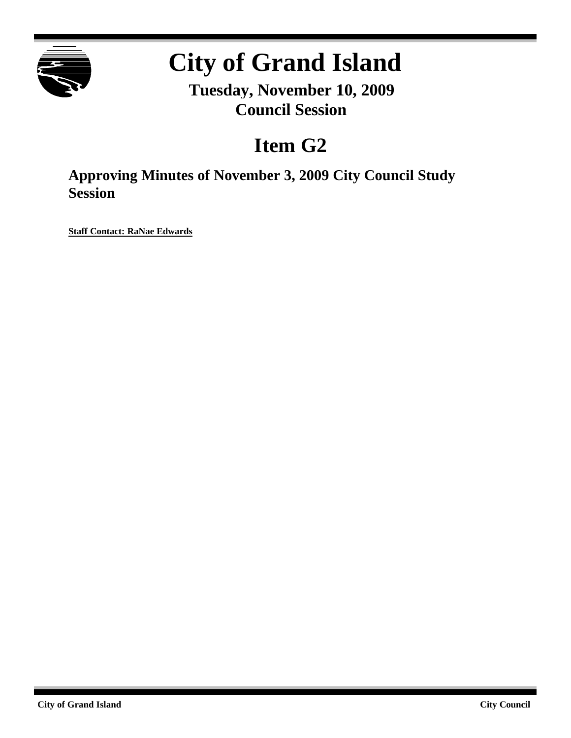

## **City of Grand Island**

**Tuesday, November 10, 2009 Council Session**

## **Item G2**

**Approving Minutes of November 3, 2009 City Council Study Session**

**Staff Contact: RaNae Edwards**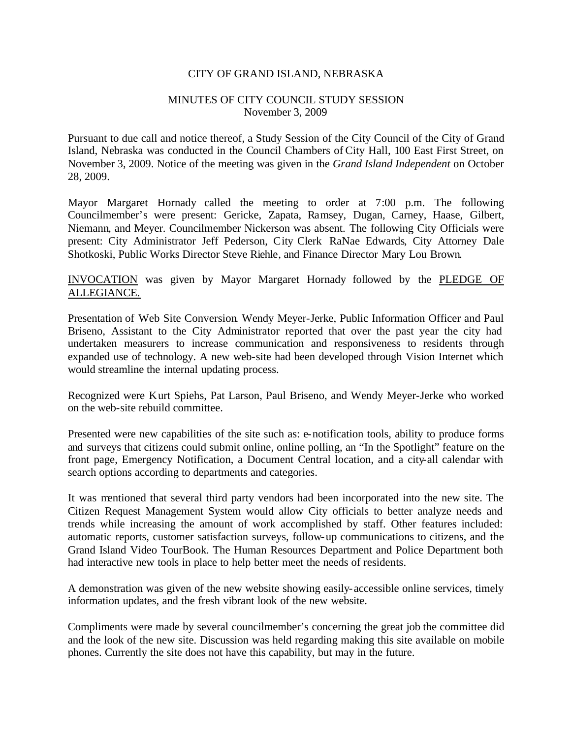## CITY OF GRAND ISLAND, NEBRASKA

## MINUTES OF CITY COUNCIL STUDY SESSION November 3, 2009

Pursuant to due call and notice thereof, a Study Session of the City Council of the City of Grand Island, Nebraska was conducted in the Council Chambers of City Hall, 100 East First Street, on November 3, 2009. Notice of the meeting was given in the *Grand Island Independent* on October 28, 2009.

Mayor Margaret Hornady called the meeting to order at 7:00 p.m. The following Councilmember's were present: Gericke, Zapata, Ramsey, Dugan, Carney, Haase, Gilbert, Niemann, and Meyer. Councilmember Nickerson was absent. The following City Officials were present: City Administrator Jeff Pederson, City Clerk RaNae Edwards, City Attorney Dale Shotkoski, Public Works Director Steve Riehle, and Finance Director Mary Lou Brown.

INVOCATION was given by Mayor Margaret Hornady followed by the PLEDGE OF ALLEGIANCE.

Presentation of Web Site Conversion. Wendy Meyer-Jerke, Public Information Officer and Paul Briseno, Assistant to the City Administrator reported that over the past year the city had undertaken measurers to increase communication and responsiveness to residents through expanded use of technology. A new web-site had been developed through Vision Internet which would streamline the internal updating process.

Recognized were Kurt Spiehs, Pat Larson, Paul Briseno, and Wendy Meyer-Jerke who worked on the web-site rebuild committee.

Presented were new capabilities of the site such as: e-notification tools, ability to produce forms and surveys that citizens could submit online, online polling, an "In the Spotlight" feature on the front page, Emergency Notification, a Document Central location, and a city-all calendar with search options according to departments and categories.

It was mentioned that several third party vendors had been incorporated into the new site. The Citizen Request Management System would allow City officials to better analyze needs and trends while increasing the amount of work accomplished by staff. Other features included: automatic reports, customer satisfaction surveys, follow-up communications to citizens, and the Grand Island Video TourBook. The Human Resources Department and Police Department both had interactive new tools in place to help better meet the needs of residents.

A demonstration was given of the new website showing easily-accessible online services, timely information updates, and the fresh vibrant look of the new website.

Compliments were made by several councilmember's concerning the great job the committee did and the look of the new site. Discussion was held regarding making this site available on mobile phones. Currently the site does not have this capability, but may in the future.